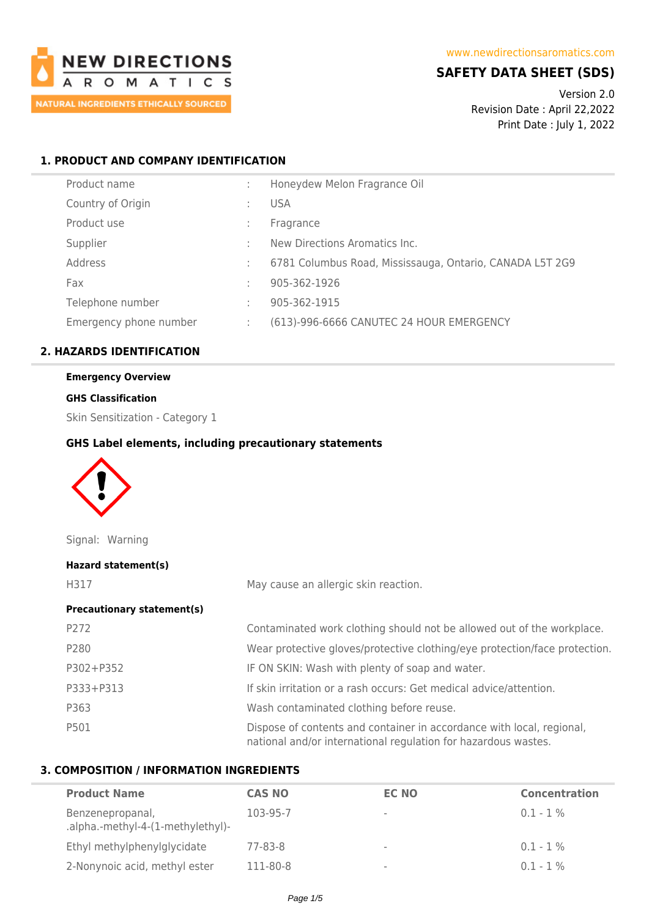

# **SAFETY DATA SHEET (SDS)**

Version 2.0 Revision Date : April 22,2022 Print Date : July 1, 2022

## **1. PRODUCT AND COMPANY IDENTIFICATION**

| Product name           |    | Honeydew Melon Fragrance Oil                             |
|------------------------|----|----------------------------------------------------------|
| Country of Origin      |    | <b>USA</b>                                               |
| Product use            |    | Fragrance                                                |
| Supplier               |    | New Directions Aromatics Inc.                            |
| Address                |    | 6781 Columbus Road, Mississauga, Ontario, CANADA L5T 2G9 |
| Fax                    | t. | 905-362-1926                                             |
| Telephone number       |    | 905-362-1915                                             |
| Emergency phone number | ÷. | (613)-996-6666 CANUTEC 24 HOUR EMERGENCY                 |
|                        |    |                                                          |

# **2. HAZARDS IDENTIFICATION**

# **Emergency Overview**

### **GHS Classification**

Skin Sensitization - Category 1

### **GHS Label elements, including precautionary statements**



Signal: Warning

| Hazard statement(s)               |                                                                                                                                         |
|-----------------------------------|-----------------------------------------------------------------------------------------------------------------------------------------|
| H317                              | May cause an allergic skin reaction.                                                                                                    |
| <b>Precautionary statement(s)</b> |                                                                                                                                         |
| P272                              | Contaminated work clothing should not be allowed out of the workplace.                                                                  |
| P280                              | Wear protective gloves/protective clothing/eye protection/face protection.                                                              |
| P302+P352                         | IF ON SKIN: Wash with plenty of soap and water.                                                                                         |
| P333+P313                         | If skin irritation or a rash occurs: Get medical advice/attention.                                                                      |
| P363                              | Wash contaminated clothing before reuse.                                                                                                |
| P501                              | Dispose of contents and container in accordance with local, regional,<br>national and/or international regulation for hazardous wastes. |

# **3. COMPOSITION / INFORMATION INGREDIENTS**

| <b>Product Name</b>                                   | <b>CAS NO</b> | <b>EC NO</b>             | <b>Concentration</b> |
|-------------------------------------------------------|---------------|--------------------------|----------------------|
| Benzenepropanal,<br>.alpha.-methyl-4-(1-methylethyl)- | 103-95-7      | $\sim$                   | $0.1 - 1\%$          |
| Ethyl methylphenylglycidate                           | 77-83-8       | $\overline{\phantom{a}}$ | $0.1 - 1\%$          |
| 2-Nonynoic acid, methyl ester                         | 111-80-8      | $\,$                     | $0.1 - 1\%$          |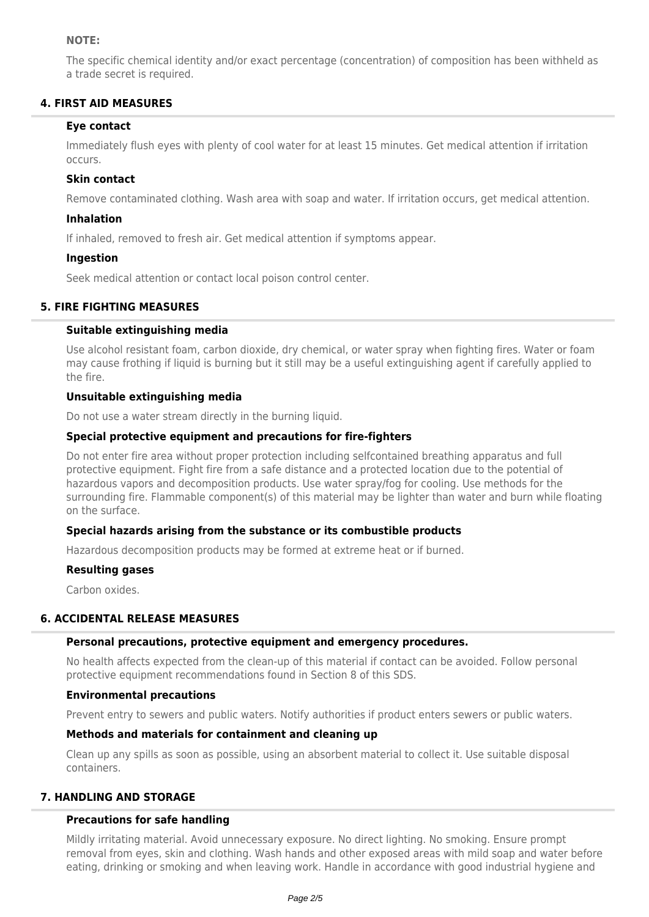### **NOTE:**

The specific chemical identity and/or exact percentage (concentration) of composition has been withheld as a trade secret is required.

# **4. FIRST AID MEASURES**

## **Eye contact**

Immediately flush eyes with plenty of cool water for at least 15 minutes. Get medical attention if irritation occurs.

## **Skin contact**

Remove contaminated clothing. Wash area with soap and water. If irritation occurs, get medical attention.

## **Inhalation**

If inhaled, removed to fresh air. Get medical attention if symptoms appear.

## **Ingestion**

Seek medical attention or contact local poison control center.

## **5. FIRE FIGHTING MEASURES**

## **Suitable extinguishing media**

Use alcohol resistant foam, carbon dioxide, dry chemical, or water spray when fighting fires. Water or foam may cause frothing if liquid is burning but it still may be a useful extinguishing agent if carefully applied to the fire.

## **Unsuitable extinguishing media**

Do not use a water stream directly in the burning liquid.

## **Special protective equipment and precautions for fire-fighters**

Do not enter fire area without proper protection including selfcontained breathing apparatus and full protective equipment. Fight fire from a safe distance and a protected location due to the potential of hazardous vapors and decomposition products. Use water spray/fog for cooling. Use methods for the surrounding fire. Flammable component(s) of this material may be lighter than water and burn while floating on the surface.

## **Special hazards arising from the substance or its combustible products**

Hazardous decomposition products may be formed at extreme heat or if burned.

### **Resulting gases**

Carbon oxides.

### **6. ACCIDENTAL RELEASE MEASURES**

### **Personal precautions, protective equipment and emergency procedures.**

No health affects expected from the clean-up of this material if contact can be avoided. Follow personal protective equipment recommendations found in Section 8 of this SDS.

### **Environmental precautions**

Prevent entry to sewers and public waters. Notify authorities if product enters sewers or public waters.

### **Methods and materials for containment and cleaning up**

Clean up any spills as soon as possible, using an absorbent material to collect it. Use suitable disposal containers.

## **7. HANDLING AND STORAGE**

### **Precautions for safe handling**

Mildly irritating material. Avoid unnecessary exposure. No direct lighting. No smoking. Ensure prompt removal from eyes, skin and clothing. Wash hands and other exposed areas with mild soap and water before eating, drinking or smoking and when leaving work. Handle in accordance with good industrial hygiene and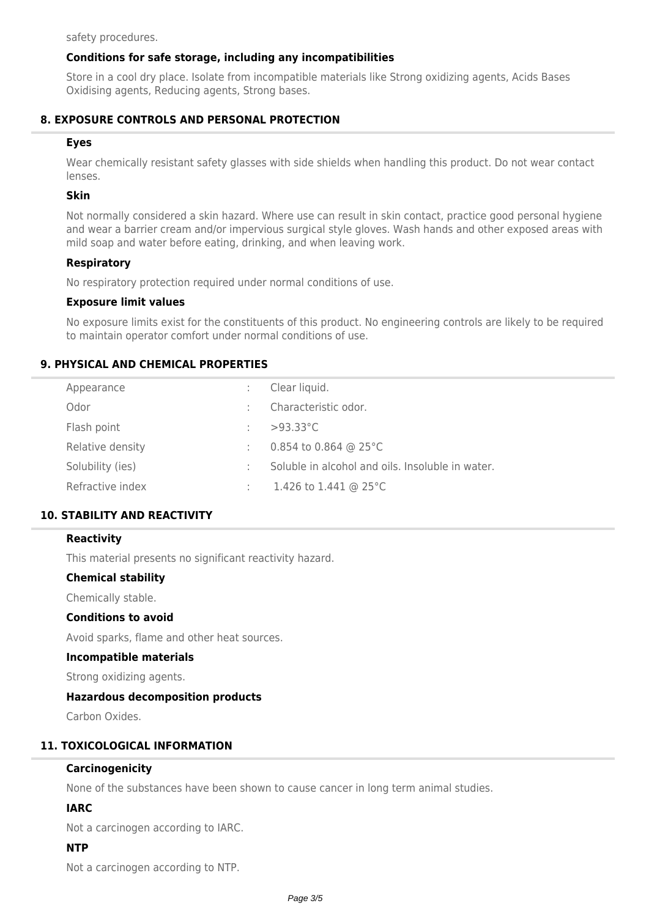safety procedures.

### **Conditions for safe storage, including any incompatibilities**

Store in a cool dry place. Isolate from incompatible materials like Strong oxidizing agents, Acids Bases Oxidising agents, Reducing agents, Strong bases.

### **8. EXPOSURE CONTROLS AND PERSONAL PROTECTION**

#### **Eyes**

Wear chemically resistant safety glasses with side shields when handling this product. Do not wear contact lenses.

### **Skin**

Not normally considered a skin hazard. Where use can result in skin contact, practice good personal hygiene and wear a barrier cream and/or impervious surgical style gloves. Wash hands and other exposed areas with mild soap and water before eating, drinking, and when leaving work.

#### **Respiratory**

No respiratory protection required under normal conditions of use.

#### **Exposure limit values**

No exposure limits exist for the constituents of this product. No engineering controls are likely to be required to maintain operator comfort under normal conditions of use.

### **9. PHYSICAL AND CHEMICAL PROPERTIES**

| Appearance       | Clear liquid.                                    |
|------------------|--------------------------------------------------|
| Odor             | Characteristic odor.                             |
| Flash point      | $>93.33^{\circ}$ C                               |
| Relative density | 0.854 to 0.864 @ 25 $^{\circ}$ C                 |
| Solubility (ies) | Soluble in alcohol and oils. Insoluble in water. |
| Refractive index | 1.426 to 1.441 @ 25 $^{\circ}$ C                 |

## **10. STABILITY AND REACTIVITY**

#### **Reactivity**

This material presents no significant reactivity hazard.

### **Chemical stability**

Chemically stable.

### **Conditions to avoid**

Avoid sparks, flame and other heat sources.

#### **Incompatible materials**

Strong oxidizing agents.

#### **Hazardous decomposition products**

Carbon Oxides.

# **11. TOXICOLOGICAL INFORMATION**

### **Carcinogenicity**

None of the substances have been shown to cause cancer in long term animal studies.

## **IARC**

Not a carcinogen according to IARC.

#### **NTP**

Not a carcinogen according to NTP.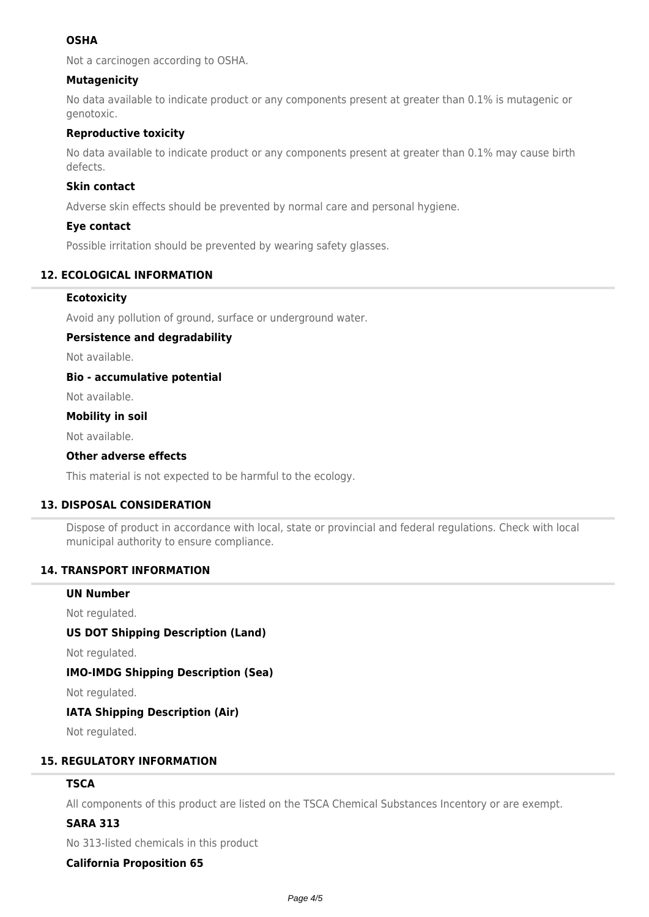# **OSHA**

Not a carcinogen according to OSHA.

# **Mutagenicity**

No data available to indicate product or any components present at greater than 0.1% is mutagenic or genotoxic.

## **Reproductive toxicity**

No data available to indicate product or any components present at greater than 0.1% may cause birth defects.

## **Skin contact**

Adverse skin effects should be prevented by normal care and personal hygiene.

### **Eye contact**

Possible irritation should be prevented by wearing safety glasses.

# **12. ECOLOGICAL INFORMATION**

## **Ecotoxicity**

Avoid any pollution of ground, surface or underground water.

## **Persistence and degradability**

Not available.

## **Bio - accumulative potential**

Not available.

## **Mobility in soil**

Not available.

## **Other adverse effects**

This material is not expected to be harmful to the ecology.

## **13. DISPOSAL CONSIDERATION**

Dispose of product in accordance with local, state or provincial and federal regulations. Check with local municipal authority to ensure compliance.

### **14. TRANSPORT INFORMATION**

### **UN Number**

Not regulated.

## **US DOT Shipping Description (Land)**

Not regulated.

### **IMO-IMDG Shipping Description (Sea)**

Not regulated.

# **IATA Shipping Description (Air)**

Not regulated.

## **15. REGULATORY INFORMATION**

## **TSCA**

All components of this product are listed on the TSCA Chemical Substances Incentory or are exempt.

## **SARA 313**

No 313-listed chemicals in this product

## **California Proposition 65**